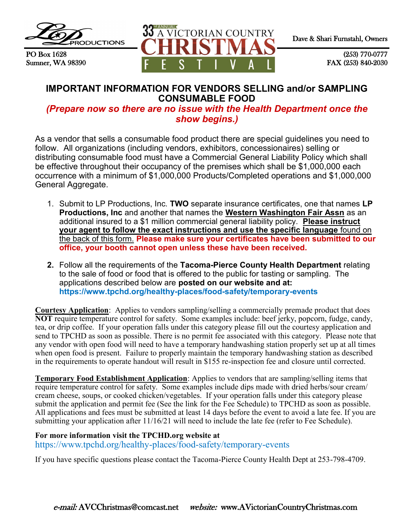

PO Box 1628 Sumner, WA 98390



(253) 770-0777 FAX (253) 840-2030

# **IMPORTANT INFORMATION FOR VENDORS SELLING and/or SAMPLING CONSUMABLE FOOD**

*(Prepare now so there are no issue with the Health Department once the show begins.)*

As a vendor that sells a consumable food product there are special guidelines you need to follow. All organizations (including vendors, exhibitors, concessionaires) selling or distributing consumable food must have a Commercial General Liability Policy which shall be effective throughout their occupancy of the premises which shall be \$1,000,000 each occurrence with a minimum of \$1,000,000 Products/Completed operations and \$1,000,000 General Aggregate.

- 1. Submit to LP Productions, Inc. **TWO** separate insurance certificates, one that names **LP Productions, Inc** and another that names the **Western Washington Fair Assn** as an additional insured to a \$1 million commercial general liability policy. **Please instruct your agent to follow the exact instructions and use the specific language** found on the back of this form. **Please make sure your certificates have been submitted to our office, your booth cannot open unless these have been received.**
- **2.** Follow all the requirements of the **Tacoma-Pierce County Health Department** relating to the sale of food or food that is offered to the public for tasting or sampling. The applications described below are **posted on our website and at: https://www.tpchd.org/healthy-places/food-safety/temporary-events**

**Courtesy Application**: Applies to vendors sampling/selling a commercially premade product that does **NOT** require temperature control for safety. Some examples include: beef jerky, popcorn, fudge, candy, tea, or drip coffee. If your operation falls under this category please fill out the courtesy application and send to TPCHD as soon as possible. There is no permit fee associated with this category. Please note that any vendor with open food will need to have a temporary handwashing station properly set up at all times when open food is present. Failure to properly maintain the temporary handwashing station as described in the requirements to operate handout will result in \$155 re-inspection fee and closure until corrected.

**Temporary Food Establishment Application**: Applies to vendors that are sampling/selling items that require temperature control for safety. Some examples include dips made with dried herbs/sour cream/ cream cheese, soups, or cooked chicken/vegetables. If your operation falls under this category please submit the application and permit fee (See the link for the Fee Schedule) to TPCHD as soon as possible. All applications and fees must be submitted at least 14 days before the event to avoid a late fee. If you are submitting your application after 11/16/21 will need to include the late fee (refer to Fee Schedule).

## **For more information visit the TPCHD.org website at**

https://www.tpchd.org/healthy-places/food-safety/temporary-events

If you have specific questions please contact the Tacoma-Pierce County Health Dept at 253-798-4709.